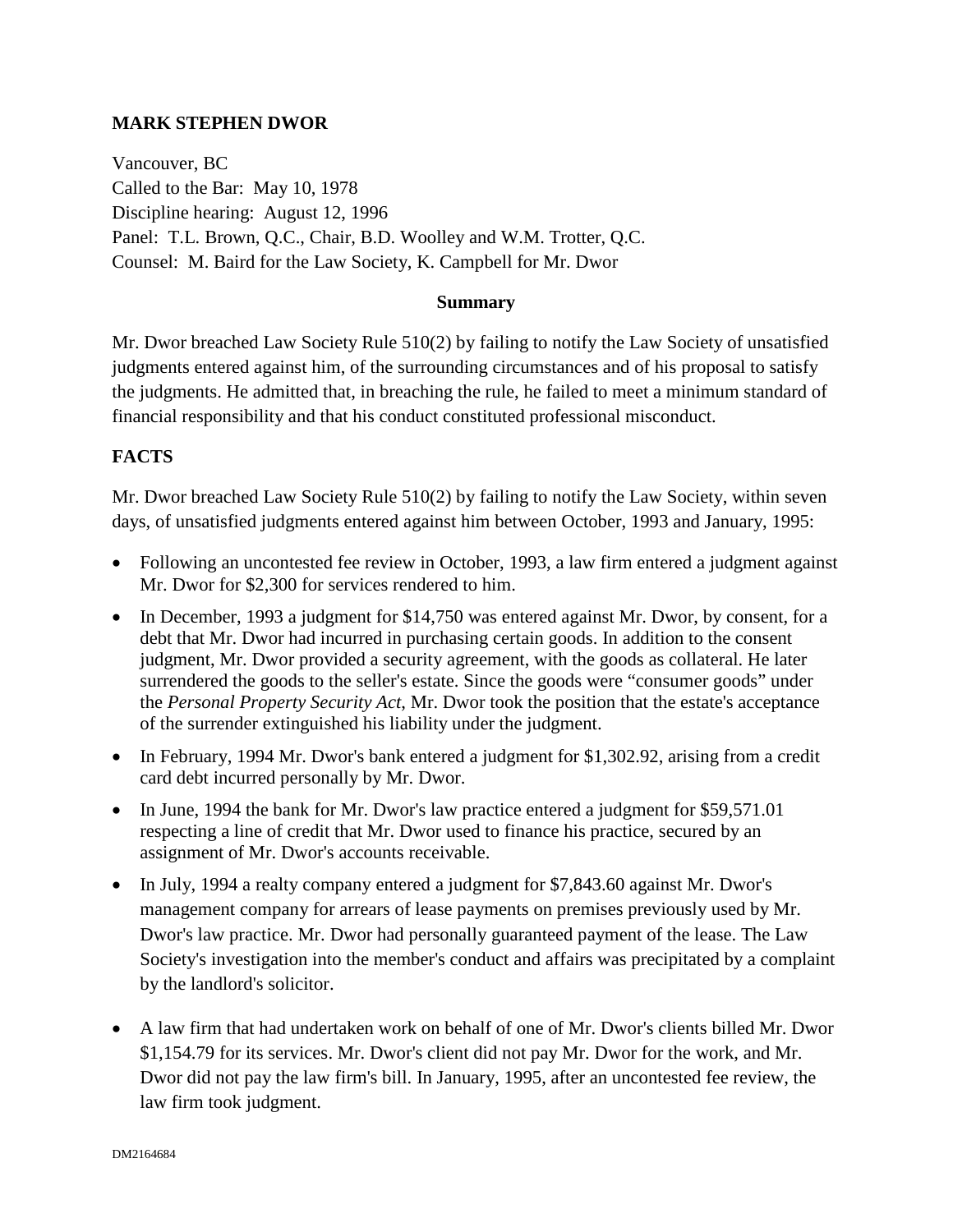### **MARK STEPHEN DWOR**

Vancouver, BC Called to the Bar: May 10, 1978 Discipline hearing: August 12, 1996 Panel: T.L. Brown, Q.C., Chair, B.D. Woolley and W.M. Trotter, Q.C. Counsel: M. Baird for the Law Society, K. Campbell for Mr. Dwor

#### **Summary**

Mr. Dwor breached Law Society Rule 510(2) by failing to notify the Law Society of unsatisfied judgments entered against him, of the surrounding circumstances and of his proposal to satisfy the judgments. He admitted that, in breaching the rule, he failed to meet a minimum standard of financial responsibility and that his conduct constituted professional misconduct.

### **FACTS**

Mr. Dwor breached Law Society Rule 510(2) by failing to notify the Law Society, within seven days, of unsatisfied judgments entered against him between October, 1993 and January, 1995:

- Following an uncontested fee review in October, 1993, a law firm entered a judgment against Mr. Dwor for \$2,300 for services rendered to him.
- In December, 1993 a judgment for \$14,750 was entered against Mr. Dwor, by consent, for a debt that Mr. Dwor had incurred in purchasing certain goods. In addition to the consent judgment, Mr. Dwor provided a security agreement, with the goods as collateral. He later surrendered the goods to the seller's estate. Since the goods were "consumer goods" under the *Personal Property Security Act*, Mr. Dwor took the position that the estate's acceptance of the surrender extinguished his liability under the judgment.
- In February, 1994 Mr. Dwor's bank entered a judgment for \$1,302.92, arising from a credit card debt incurred personally by Mr. Dwor.
- In June, 1994 the bank for Mr. Dwor's law practice entered a judgment for \$59,571.01 respecting a line of credit that Mr. Dwor used to finance his practice, secured by an assignment of Mr. Dwor's accounts receivable.
- In July, 1994 a realty company entered a judgment for \$7,843.60 against Mr. Dwor's management company for arrears of lease payments on premises previously used by Mr. Dwor's law practice. Mr. Dwor had personally guaranteed payment of the lease. The Law Society's investigation into the member's conduct and affairs was precipitated by a complaint by the landlord's solicitor.
- A law firm that had undertaken work on behalf of one of Mr. Dwor's clients billed Mr. Dwor \$1,154.79 for its services. Mr. Dwor's client did not pay Mr. Dwor for the work, and Mr. Dwor did not pay the law firm's bill. In January, 1995, after an uncontested fee review, the law firm took judgment.